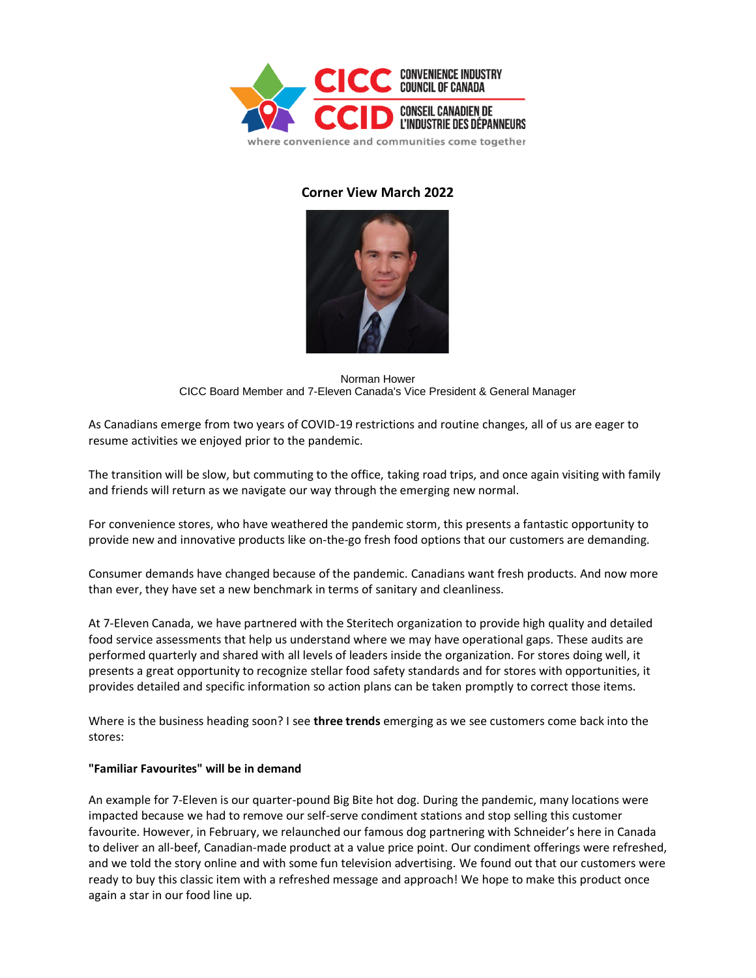

## **Corner View March 2022**



Norman Hower CICC Board Member and 7-Eleven Canada's Vice President & General Manager

As Canadians emerge from two years of COVID-19 restrictions and routine changes, all of us are eager to resume activities we enjoyed prior to the pandemic.

The transition will be slow, but commuting to the office, taking road trips, and once again visiting with family and friends will return as we navigate our way through the emerging new normal.

For convenience stores, who have weathered the pandemic storm, this presents a fantastic opportunity to provide new and innovative products like on-the-go fresh food options that our customers are demanding.

Consumer demands have changed because of the pandemic. Canadians want fresh products. And now more than ever, they have set a new benchmark in terms of sanitary and cleanliness.

At 7-Eleven Canada, we have partnered with the Steritech organization to provide high quality and detailed food service assessments that help us understand where we may have operational gaps. These audits are performed quarterly and shared with all levels of leaders inside the organization. For stores doing well, it presents a great opportunity to recognize stellar food safety standards and for stores with opportunities, it provides detailed and specific information so action plans can be taken promptly to correct those items.

Where is the business heading soon? I see **three trends** emerging as we see customers come back into the stores:

## **"Familiar Favourites" will be in demand**

An example for 7-Eleven is our quarter-pound Big Bite hot dog. During the pandemic, many locations were impacted because we had to remove our self-serve condiment stations and stop selling this customer favourite. However, in February, we relaunched our famous dog partnering with Schneider's here in Canada to deliver an all-beef, Canadian-made product at a value price point. Our condiment offerings were refreshed, and we told the story online and with some fun television advertising. We found out that our customers were ready to buy this classic item with a refreshed message and approach! We hope to make this product once again a star in our food line up.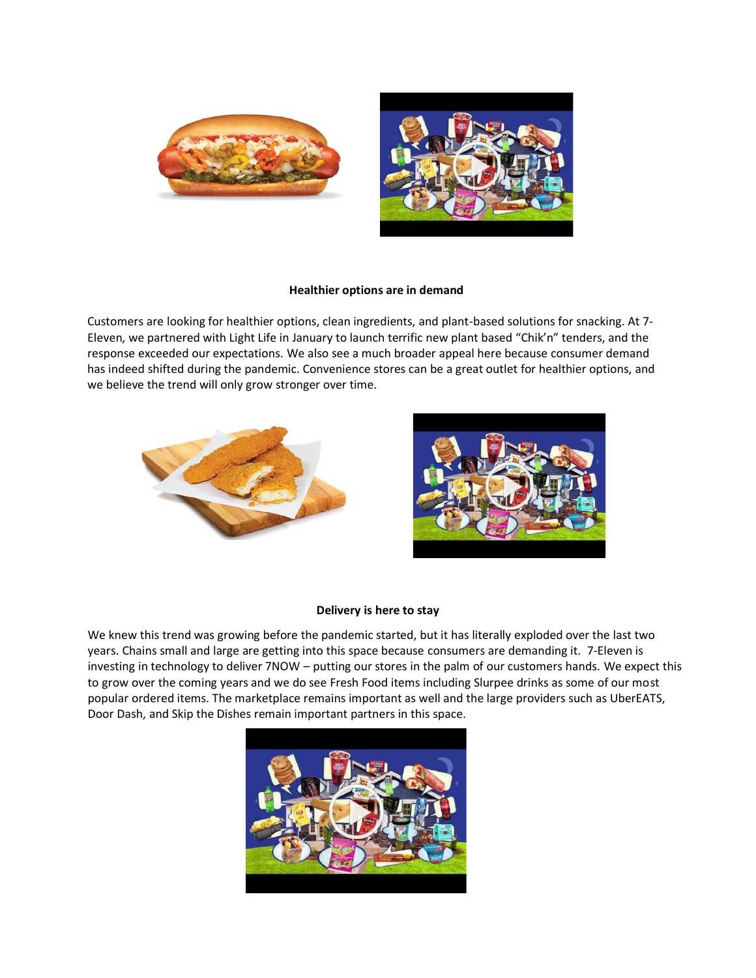



## **Healthier options are in demand**

Customers are looking for healthier options, clean ingredients, and plant-based solutions for snacking. At 7- Eleven, we partnered with Light Life in January to launch terrific new plant based "Chik'n" tenders, and the response exceeded our expectations. We also see a much broader appeal here because consumer demand has indeed shifted during the pandemic. Convenience stores can be a great outlet for healthier options, and we believe the trend will only grow stronger over time.





## **Delivery is here to stay**

We knew this trend was growing before the pandemic started, but it has literally exploded over the last two years. Chains small and large are getting into this space because consumers are demanding it. 7-Eleven is investing in technology to deliver 7NOW – putting our stores in the palm of our customers hands. We expect this to grow over the coming years and we do see Fresh Food items including Slurpee drinks as some of our most popular ordered items. The marketplace remains important as well and the large providers such as UberEATS, Door Dash, and Skip the Dishes remain important partners in this space.